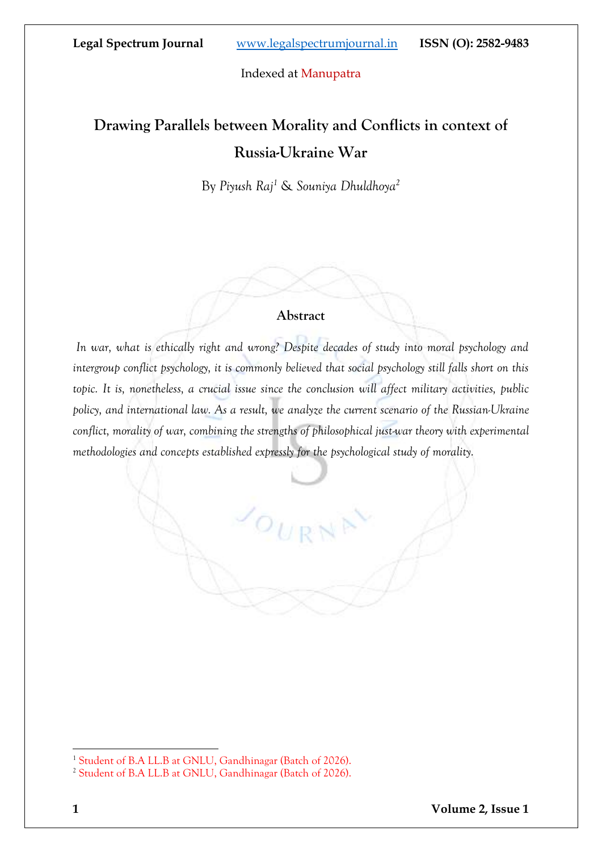# **Drawing Parallels between Morality and Conflicts in context of Russia-Ukraine War**

By *Piyush Raj<sup>1</sup>* & *Souniya Dhuldhoya<sup>2</sup>*

#### **Abstract**

*In war, what is ethically right and wrong? Despite decades of study into moral psychology and intergroup conflict psychology, it is commonly believed that social psychology still falls short on this topic. It is, nonetheless, a crucial issue since the conclusion will affect military activities, public policy, and international law. As a result, we analyze the current scenario of the Russian-Ukraine conflict, morality of war, combining the strengths of philosophical just-war theory with experimental methodologies and concepts established expressly for the psychological study of morality.*

 $\mathcal{L}_{O_{U\vert \text{R}}}$ 

<sup>&</sup>lt;sup>1</sup> Student of B.A LL.B at GNLU, Gandhinagar (Batch of 2026).

<sup>&</sup>lt;sup>2</sup> Student of B.A LL.B at GNLU, Gandhinagar (Batch of 2026).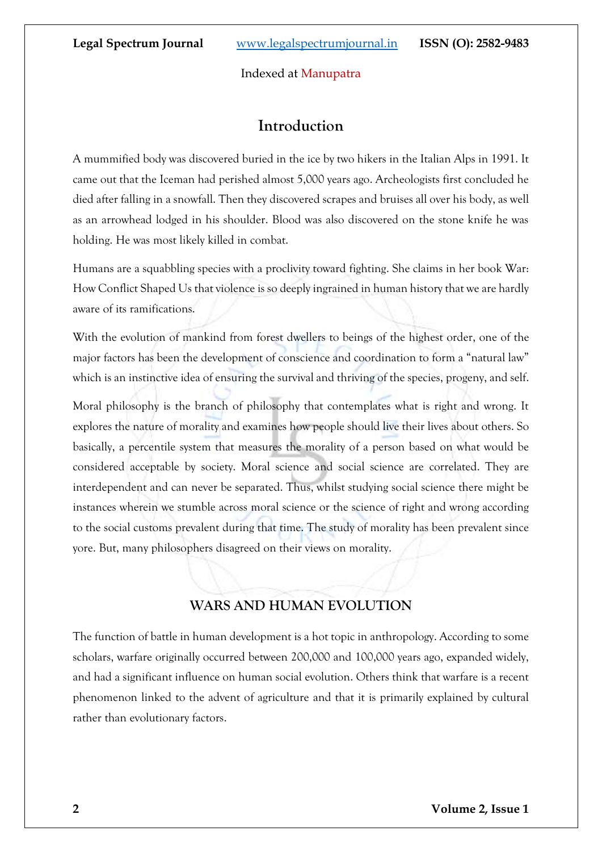## **Introduction**

A mummified body was discovered buried in the ice by two hikers in the Italian Alps in 1991. It came out that the Iceman had perished almost 5,000 years ago. Archeologists first concluded he died after falling in a snowfall. Then they discovered scrapes and bruises all over his body, as well as an arrowhead lodged in his shoulder. Blood was also discovered on the stone knife he was holding. He was most likely killed in combat.

Humans are a squabbling species with a proclivity toward fighting. She claims in her book War: How Conflict Shaped Us that violence is so deeply ingrained in human history that we are hardly aware of its ramifications.

With the evolution of mankind from forest dwellers to beings of the highest order, one of the major factors has been the development of conscience and coordination to form a "natural law" which is an instinctive idea of ensuring the survival and thriving of the species, progeny, and self.

Moral philosophy is the branch of philosophy that contemplates what is right and wrong. It explores the nature of morality and examines how people should live their lives about others. So basically, a percentile system that measures the morality of a person based on what would be considered acceptable by society. Moral science and social science are correlated. They are interdependent and can never be separated. Thus, whilst studying social science there might be instances wherein we stumble across moral science or the science of right and wrong according to the social customs prevalent during that time. The study of morality has been prevalent since yore. But, many philosophers disagreed on their views on morality.

## **WARS AND HUMAN EVOLUTION**

The function of battle in human development is a hot topic in anthropology. According to some scholars, warfare originally occurred between 200,000 and 100,000 years ago, expanded widely, and had a significant influence on human social evolution. Others think that warfare is a recent phenomenon linked to the advent of agriculture and that it is primarily explained by cultural rather than evolutionary factors.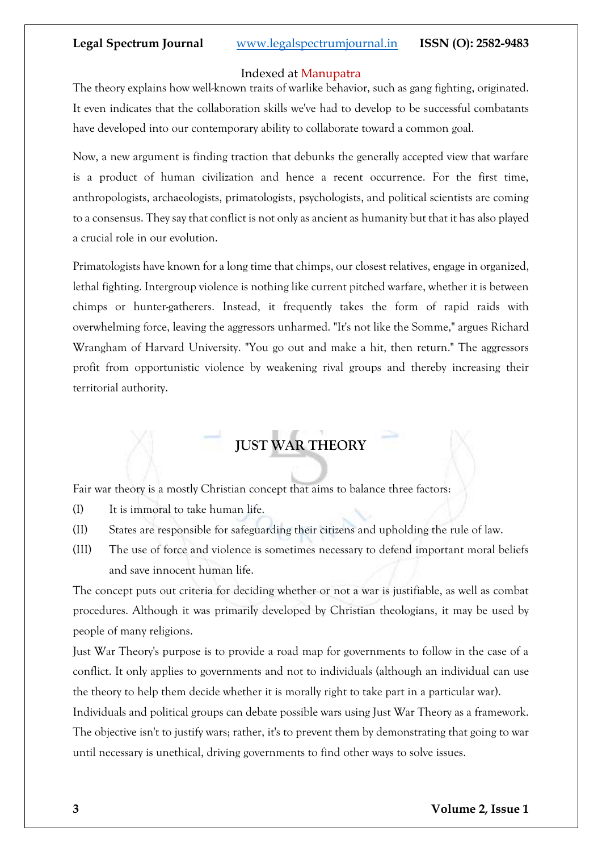#### Indexed at Manupatra

The theory explains how well-known traits of warlike behavior, such as gang fighting, originated. It even indicates that the collaboration skills we've had to develop to be successful combatants have developed into our contemporary ability to collaborate toward a common goal.

Now, a new argument is finding traction that debunks the generally accepted view that warfare is a product of human civilization and hence a recent occurrence. For the first time, anthropologists, archaeologists, primatologists, psychologists, and political scientists are coming to a consensus. They say that conflict is not only as ancient as humanity but that it has also played a crucial role in our evolution.

Primatologists have known for a long time that chimps, our closest relatives, engage in organized, lethal fighting. Intergroup violence is nothing like current pitched warfare, whether it is between chimps or hunter-gatherers. Instead, it frequently takes the form of rapid raids with overwhelming force, leaving the aggressors unharmed. "It's not like the Somme," argues Richard Wrangham of Harvard University. "You go out and make a hit, then return." The aggressors profit from opportunistic violence by weakening rival groups and thereby increasing their territorial authority.

## **JUST WAR THEORY**

Fair war theory is a mostly Christian concept that aims to balance three factors:

- (I) It is immoral to take human life.
- (II) States are responsible for safeguarding their citizens and upholding the rule of law.
- (III) The use of force and violence is sometimes necessary to defend important moral beliefs and save innocent human life.

The concept puts out criteria for deciding whether or not a war is justifiable, as well as combat procedures. Although it was primarily developed by Christian theologians, it may be used by people of many religions.

Just War Theory's purpose is to provide a road map for governments to follow in the case of a conflict. It only applies to governments and not to individuals (although an individual can use the theory to help them decide whether it is morally right to take part in a particular war).

Individuals and political groups can debate possible wars using Just War Theory as a framework. The objective isn't to justify wars; rather, it's to prevent them by demonstrating that going to war until necessary is unethical, driving governments to find other ways to solve issues.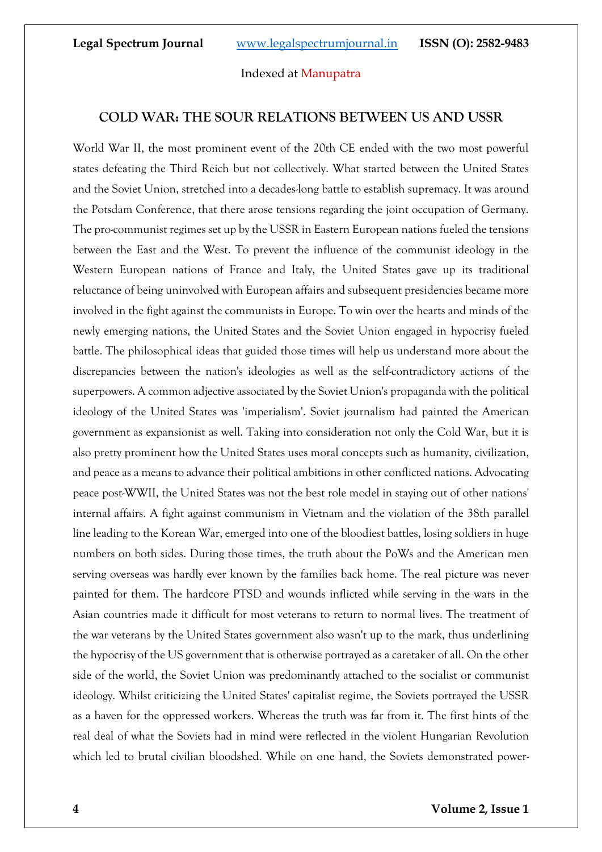#### **COLD WAR: THE SOUR RELATIONS BETWEEN US AND USSR**

World War II, the most prominent event of the 20th CE ended with the two most powerful states defeating the Third Reich but not collectively. What started between the United States and the Soviet Union, stretched into a decades-long battle to establish supremacy. It was around the Potsdam Conference, that there arose tensions regarding the joint occupation of Germany. The pro-communist regimes set up by the USSR in Eastern European nations fueled the tensions between the East and the West. To prevent the influence of the communist ideology in the Western European nations of France and Italy, the United States gave up its traditional reluctance of being uninvolved with European affairs and subsequent presidencies became more involved in the fight against the communists in Europe. To win over the hearts and minds of the newly emerging nations, the United States and the Soviet Union engaged in hypocrisy fueled battle. The philosophical ideas that guided those times will help us understand more about the discrepancies between the nation's ideologies as well as the self-contradictory actions of the superpowers. A common adjective associated by the Soviet Union's propaganda with the political ideology of the United States was 'imperialism'. Soviet journalism had painted the American government as expansionist as well. Taking into consideration not only the Cold War, but it is also pretty prominent how the United States uses moral concepts such as humanity, civilization, and peace as a means to advance their political ambitions in other conflicted nations. Advocating peace post-WWII, the United States was not the best role model in staying out of other nations' internal affairs. A fight against communism in Vietnam and the violation of the 38th parallel line leading to the Korean War, emerged into one of the bloodiest battles, losing soldiers in huge numbers on both sides. During those times, the truth about the PoWs and the American men serving overseas was hardly ever known by the families back home. The real picture was never painted for them. The hardcore PTSD and wounds inflicted while serving in the wars in the Asian countries made it difficult for most veterans to return to normal lives. The treatment of the war veterans by the United States government also wasn't up to the mark, thus underlining the hypocrisy of the US government that is otherwise portrayed as a caretaker of all. On the other side of the world, the Soviet Union was predominantly attached to the socialist or communist ideology. Whilst criticizing the United States' capitalist regime, the Soviets portrayed the USSR as a haven for the oppressed workers. Whereas the truth was far from it. The first hints of the real deal of what the Soviets had in mind were reflected in the violent Hungarian Revolution which led to brutal civilian bloodshed. While on one hand, the Soviets demonstrated power-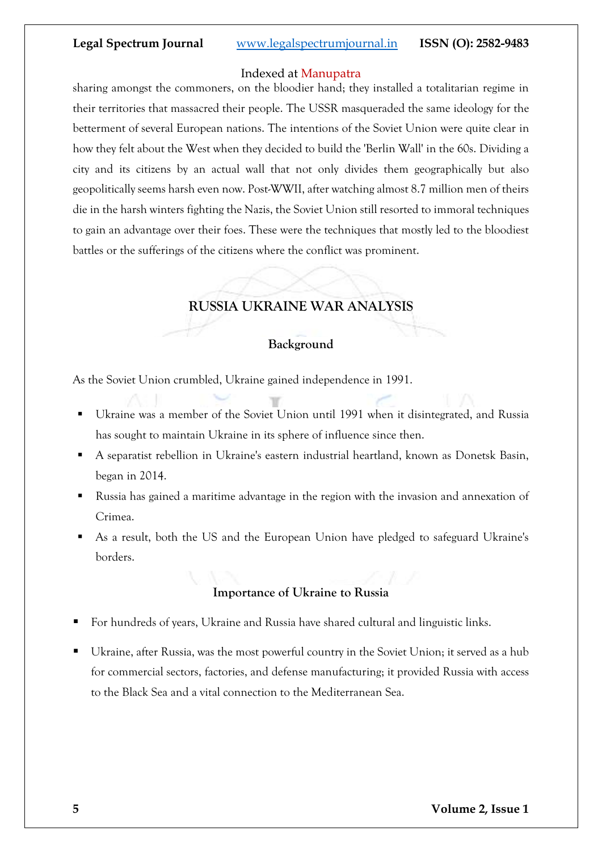#### Indexed at Manupatra

sharing amongst the commoners, on the bloodier hand; they installed a totalitarian regime in their territories that massacred their people. The USSR masqueraded the same ideology for the betterment of several European nations. The intentions of the Soviet Union were quite clear in how they felt about the West when they decided to build the 'Berlin Wall' in the 60s. Dividing a city and its citizens by an actual wall that not only divides them geographically but also geopolitically seems harsh even now. Post-WWII, after watching almost 8.7 million men of theirs die in the harsh winters fighting the Nazis, the Soviet Union still resorted to immoral techniques to gain an advantage over their foes. These were the techniques that mostly led to the bloodiest battles or the sufferings of the citizens where the conflict was prominent.

## **RUSSIA UKRAINE WAR ANALYSIS**

#### **Background**

As the Soviet Union crumbled, Ukraine gained independence in 1991.

- Ukraine was a member of the Soviet Union until 1991 when it disintegrated, and Russia has sought to maintain Ukraine in its sphere of influence since then.
- A separatist rebellion in Ukraine's eastern industrial heartland, known as Donetsk Basin, began in 2014.
- Russia has gained a maritime advantage in the region with the invasion and annexation of Crimea.
- As a result, both the US and the European Union have pledged to safeguard Ukraine's borders.

## **Importance of Ukraine to Russia**

- For hundreds of years, Ukraine and Russia have shared cultural and linguistic links.
- Ukraine, after Russia, was the most powerful country in the Soviet Union; it served as a hub for commercial sectors, factories, and defense manufacturing; it provided Russia with access to the Black Sea and a vital connection to the Mediterranean Sea.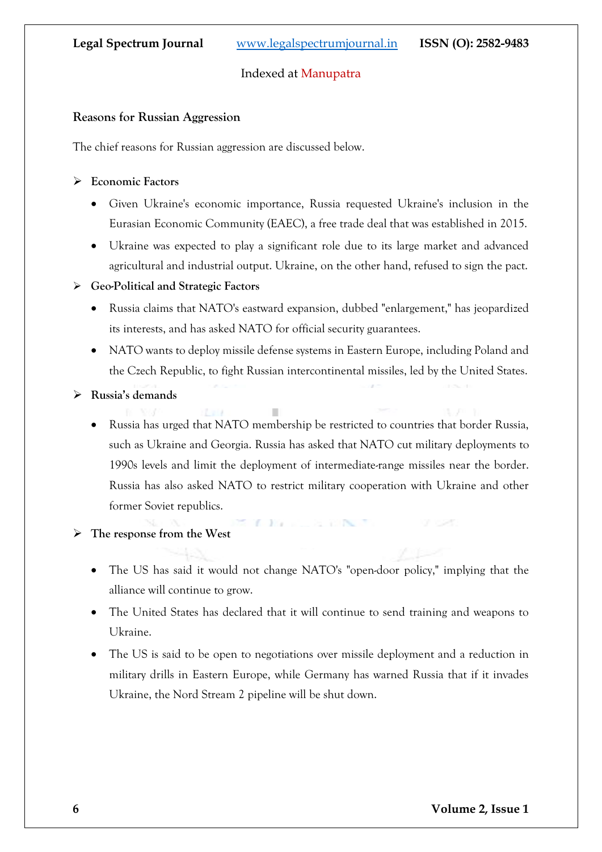#### **Reasons for Russian Aggression**

The chief reasons for Russian aggression are discussed below.

#### ➢ **Economic Factors**

- Given Ukraine's economic importance, Russia requested Ukraine's inclusion in the Eurasian Economic Community (EAEC), a free trade deal that was established in 2015.
- Ukraine was expected to play a significant role due to its large market and advanced agricultural and industrial output. Ukraine, on the other hand, refused to sign the pact.

#### ➢ **Geo-Political and Strategic Factors**

- Russia claims that NATO's eastward expansion, dubbed "enlargement," has jeopardized its interests, and has asked NATO for official security guarantees.
- NATO wants to deploy missile defense systems in Eastern Europe, including Poland and the Czech Republic, to fight Russian intercontinental missiles, led by the United States.
- ➢ **Russia's demands**
	- Russia has urged that NATO membership be restricted to countries that border Russia, such as Ukraine and Georgia. Russia has asked that NATO cut military deployments to 1990s levels and limit the deployment of intermediate-range missiles near the border. Russia has also asked NATO to restrict military cooperation with Ukraine and other former Soviet republics.

The company of the company of

#### ➢ **The response from the West**

- The US has said it would not change NATO's "open-door policy," implying that the alliance will continue to grow.
- The United States has declared that it will continue to send training and weapons to Ukraine.
- The US is said to be open to negotiations over missile deployment and a reduction in military drills in Eastern Europe, while Germany has warned Russia that if it invades Ukraine, the Nord Stream 2 pipeline will be shut down.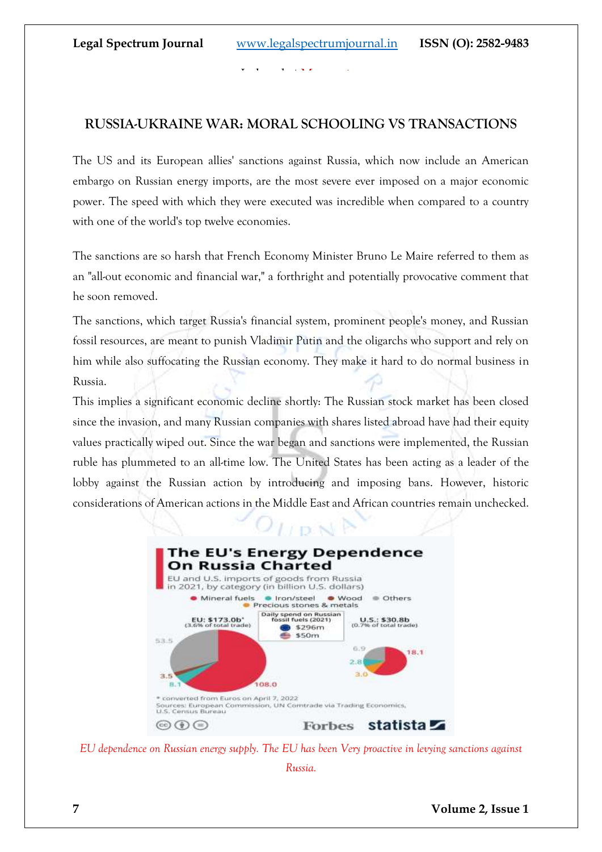## **RUSSIA-UKRAINE WAR: MORAL SCHOOLING VS TRANSACTIONS**

The US and its European allies' sanctions against Russia, which now include an American embargo on Russian energy imports, are the most severe ever imposed on a major economic power. The speed with which they were executed was incredible when compared to a country with one of the world's top twelve economies.

The sanctions are so harsh that French Economy Minister Bruno Le Maire referred to them as an "all-out economic and financial war," a forthright and potentially provocative comment that he soon removed.

The sanctions, which target Russia's financial system, prominent people's money, and Russian fossil resources, are meant to punish Vladimir Putin and the oligarchs who support and rely on him while also suffocating the Russian economy. They make it hard to do normal business in Russia.

This implies a significant economic decline shortly: The Russian stock market has been closed since the invasion, and many Russian companies with shares listed abroad have had their equity values practically wiped out. Since the war began and sanctions were implemented, the Russian ruble has plummeted to an all-time low. The United States has been acting as a leader of the lobby against the Russian action by introducing and imposing bans. However, historic considerations of American actions in the Middle East and African countries remain unchecked.



*EU dependence on Russian energy supply. The EU has been Very proactive in levying sanctions against* 

*Russia.*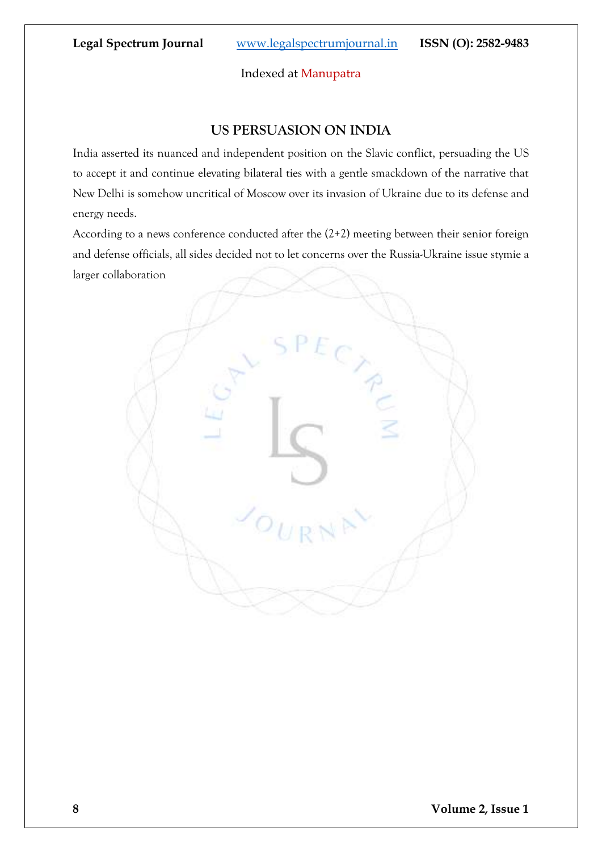#### Indexed at Manupatra

## **US PERSUASION ON INDIA**

India asserted its nuanced and independent position on the Slavic conflict, persuading the US to accept it and continue elevating bilateral ties with a gentle smackdown of the narrative that New Delhi is somehow uncritical of Moscow over its invasion of Ukraine due to its defense and energy needs.

According to a news conference conducted after the (2+2) meeting between their senior foreign and defense officials, all sides decided not to let concerns over the Russia-Ukraine issue stymie a larger collaboration

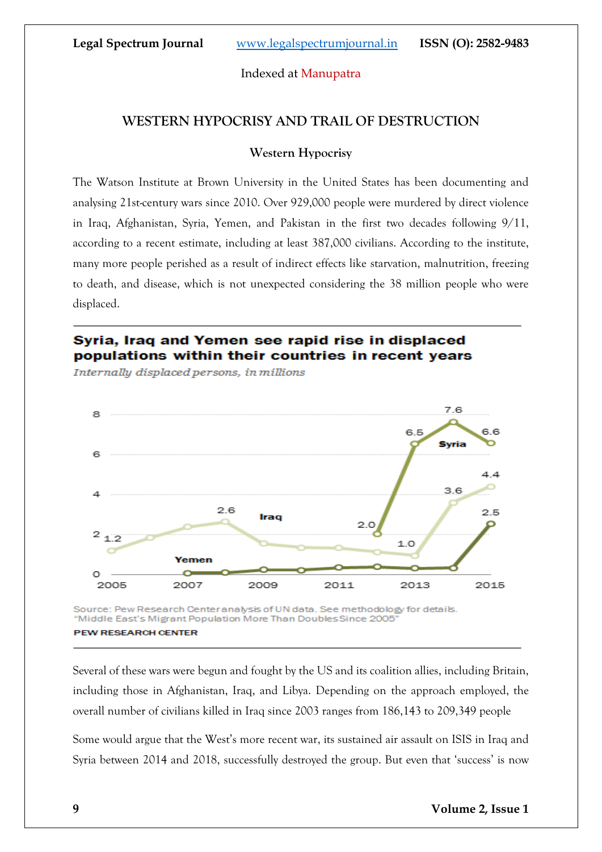## **WESTERN HYPOCRISY AND TRAIL OF DESTRUCTION**

#### **Western Hypocrisy**

The Watson Institute at Brown University in the United States has been documenting and analysing 21st-century wars since 2010. Over 929,000 people were murdered by direct violence in Iraq, Afghanistan, Syria, Yemen, and Pakistan in the first two decades following 9/11, according to a recent estimate, including at least 387,000 civilians. According to the institute, many more people perished as a result of indirect effects like starvation, malnutrition, freezing to death, and disease, which is not unexpected considering the 38 million people who were displaced.

## Syria, Irag and Yemen see rapid rise in displaced populations within their countries in recent years

Internally displaced persons, in millions



**PEW RESEARCH CENTER** 

Several of these wars were begun and fought by the US and its coalition allies, including Britain, including those in Afghanistan, Iraq, and Libya. Depending on the approach employed, the overall number of civilians killed in Iraq since 2003 ranges from 186,143 to 209,349 people

Some would argue that the West's more recent war, its sustained air assault on ISIS in Iraq and Syria between 2014 and 2018, successfully destroyed the group. But even that 'success' is now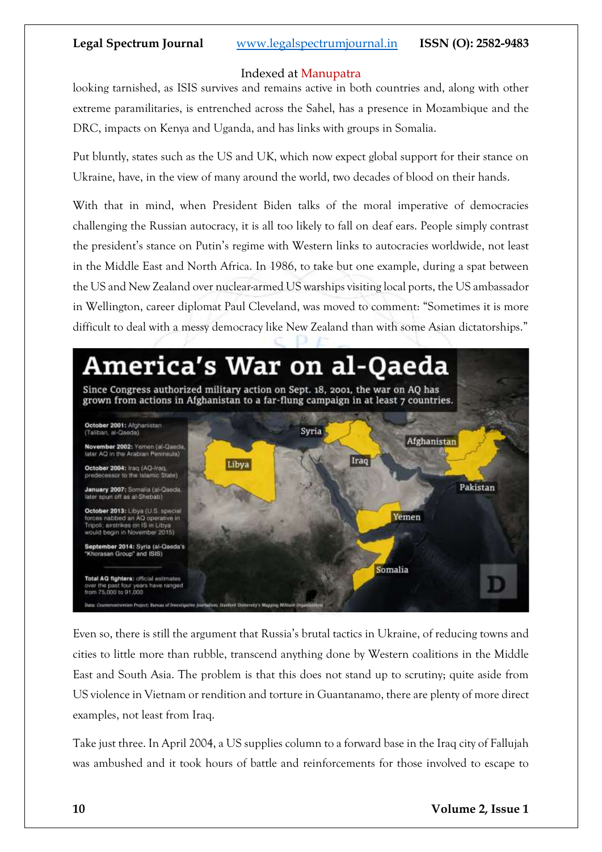#### Indexed at Manupatra

looking tarnished, as ISIS survives and remains active in both countries and, along with other extreme paramilitaries, is entrenched across the Sahel, has a presence in Mozambique and the DRC, impacts on Kenya and Uganda, and has links with groups in Somalia.

Put bluntly, states such as the US and UK, which now expect global support for their stance on Ukraine, have, in the view of many around the world, two decades of blood on their hands.

With that in mind, when President Biden talks of the moral imperative of democracies challenging the Russian autocracy, it is all too likely to fall on deaf ears. People simply contrast the president's stance on Putin's regime with Western links to autocracies worldwide, not least in the Middle East and North Africa. In 1986, to take but one example, during a spat between the US and New Zealand over nuclear-armed US warships visiting local ports, the US ambassador in Wellington, career diplomat Paul Cleveland, was moved to comment: "Sometimes it is more difficult to deal with a messy democracy like New Zealand than with some Asian dictatorships."



Even so, there is still the argument that Russia's brutal tactics in Ukraine, of reducing towns and cities to little more than rubble, transcend anything done by Western coalitions in the Middle East and South Asia. The problem is that this does not stand up to scrutiny; quite aside from US violence in Vietnam or rendition and torture in Guantanamo, there are plenty of more direct examples, not least from Iraq.

Take just three. In April 2004, a US supplies column to a forward base in the Iraq city of Fallujah was ambushed and it took hours of battle and reinforcements for those involved to escape to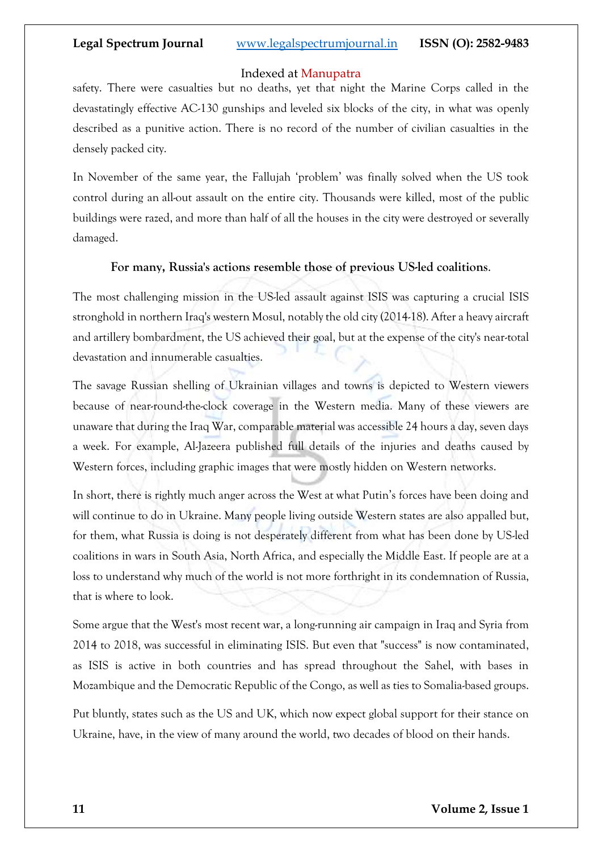#### Indexed at Manupatra

safety. There were casualties but no deaths, yet that night the Marine Corps called in the devastatingly effective AC-130 gunships and [leveled six blocks of the city,](https://www.opendemocracy.net/en/article_1858jsp/) in what was openly described as a punitive action. There is no record of the number of civilian casualties in the densely packed city.

In November of the same year, the Fallujah 'problem' was finally solved when the US took control during an [all-out assault on the entire city.](https://www.opendemocracy.net/en/article_2227jsp/) Thousands were killed, most of the public buildings were razed, and more than half of all the houses in the city were destroyed or severally damaged.

#### **For many, Russia's actions resemble those of previous US-led coalitions**.

The most challenging mission in the US-led assault against ISIS was capturing a crucial ISIS stronghold in northern Iraq's western Mosul, notably the old city (2014-18). After a heavy aircraft and artillery bombardment, the US achieved their goal, but at the expense of the city's near-total devastation and innumerable casualties.

The savage Russian shelling of Ukrainian villages and towns is depicted to Western viewers because of near-round-the-clock coverage in the Western media. Many of these viewers are unaware that during the Iraq War, comparable material was accessible 24 hours a day, seven days a week. For example, Al-Jazeera published full details of the injuries and deaths caused by Western forces, including graphic images that were mostly hidden on Western networks.

In short, there is rightly much anger across the West at what Putin's forces have been doing and will continue to do in Ukraine. Many people living outside Western states are also appalled but, for them, what Russia is doing is not desperately different from what has been done by US-led coalitions in wars in South Asia, North Africa, and especially the Middle East. If people are at a loss to understand why much of the world is not more forthright in its condemnation of Russia, that is where to look.

Some argue that the West's most recent war, a long-running air campaign in Iraq and Syria from 2014 to 2018, was successful in eliminating ISIS. But even that "success" is now contaminated, as ISIS is active in both countries and has spread throughout the Sahel, with bases in Mozambique and the Democratic Republic of the Congo, as well as ties to Somalia-based groups.

Put bluntly, states such as the US and UK, which now expect global support for their stance on Ukraine, have, in the view of many around the world, two decades of blood on their hands.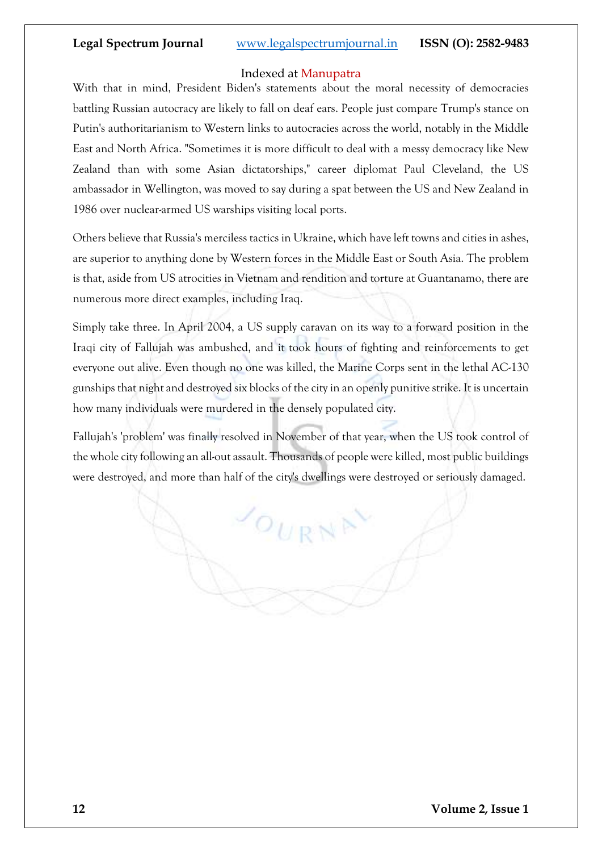#### Indexed at Manupatra

With that in mind, President Biden's statements about the moral necessity of democracies battling Russian autocracy are likely to fall on deaf ears. People just compare Trump's stance on Putin's authoritarianism to Western links to autocracies across the world, notably in the Middle East and North Africa. "Sometimes it is more difficult to deal with a messy democracy like New Zealand than with some Asian dictatorships," career diplomat Paul Cleveland, the US ambassador in Wellington, was moved to say during a spat between the US and New Zealand in 1986 over nuclear-armed US warships visiting local ports.

Others believe that Russia's merciless tactics in Ukraine, which have left towns and cities in ashes, are superior to anything done by Western forces in the Middle East or South Asia. The problem is that, aside from US atrocities in Vietnam and rendition and torture at Guantanamo, there are numerous more direct examples, including Iraq.

Simply take three. In April 2004, a US supply caravan on its way to a forward position in the Iraqi city of Fallujah was ambushed, and it took hours of fighting and reinforcements to get everyone out alive. Even though no one was killed, the Marine Corps sent in the lethal AC-130 gunships that night and destroyed six blocks of the city in an openly punitive strike. It is uncertain how many individuals were murdered in the densely populated city.

Fallujah's 'problem' was finally resolved in November of that year, when the US took control of the whole city following an all-out assault. Thousands of people were killed, most public buildings were destroyed, and more than half of the city's dwellings were destroyed or seriously damaged.

 $o_{URN}$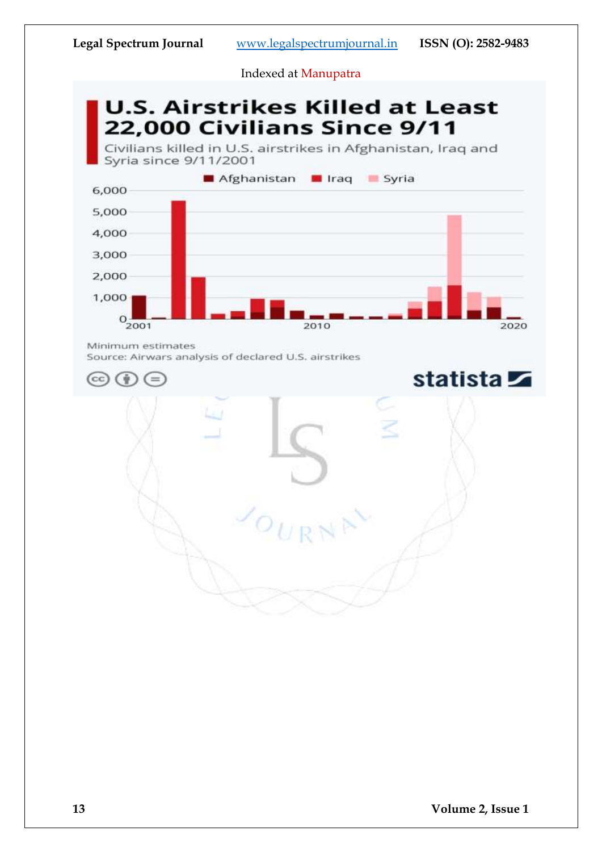**U.S. Airstrikes Killed at Least** 22,000 Civilians Since 9/11

Civilians killed in U.S. airstrikes in Afghanistan, Iraq and Syria since 9/11/2001



Minimum estimates

Source: Airwars analysis of declared U.S. airstrikes